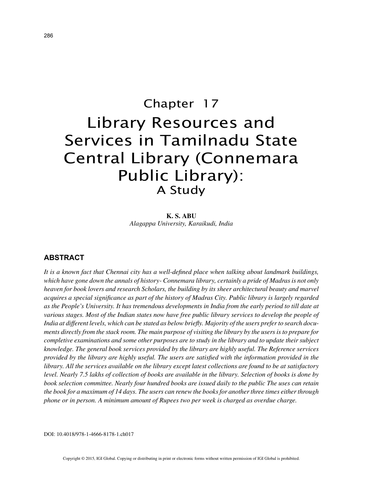# Chapter 17 Library Resources and Services in Tamilnadu State Central Library (Connemara Public Library): A Study

**K. S. ABU** *Alagappa University, Karaikudi, India*

### **ABSTRACT**

*It is a known fact that Chennai city has a well-defined place when talking about landmark buildings, which have gone down the annals of history- Connemara library, certainly a pride of Madras is not only heaven for book lovers and research Scholars, the building by its sheer architectural beauty and marvel acquires a special significance as part of the history of Madras City. Public library is largely regarded as the People's University. It has tremendous developments in India from the early period to till date at various stages. Most of the Indian states now have free public library services to develop the people of India at different levels, which can be stated as below briefly. Majority of the users prefer to search documents directly from the stack room. The main purpose of visiting the library by the users is to prepare for completive examinations and some other purposes are to study in the library and to update their subject knowledge. The general book services provided by the library are highly useful. The Reference services provided by the library are highly useful. The users are satisfied with the information provided in the library. All the services available on the library except latest collections are found to be at satisfactory level. Nearly 7.5 lakhs of collection of books are available in the library. Selection of books is done by book selection committee. Nearly four hundred books are issued daily to the public The uses can retain the book for a maximum of 14 days. The users can renew the books for another three times either through phone or in person. A minimum amount of Rupees two per week is charged as overdue charge.*

DOI: 10.4018/978-1-4666-8178-1.ch017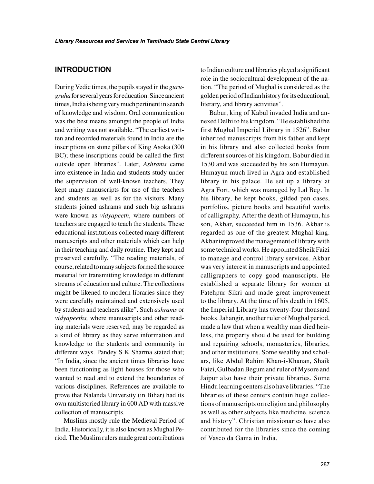## **INTRODUCTION**

During Vedic times, the pupils stayed in the *gurugruha* for several years for education. Since ancient times, India is being very much pertinent in search of knowledge and wisdom. Oral communication was the best means amongst the people of India and writing was not available. "The earliest written and recorded materials found in India are the inscriptions on stone pillars of King Asoka (300 BC); these inscriptions could be called the first outside open libraries". Later, *Ashrams* came into existence in India and students study under the supervision of well-known teachers. They kept many manuscripts for use of the teachers and students as well as for the visitors. Many students joined ashrams and such big ashrams were known as *vidyapeeth*, where numbers of teachers are engaged to teach the students. These educational institutions collected many different manuscripts and other materials which can help in their teaching and daily routine. They kept and preserved carefully. "The reading materials, of course, related to many subjects formed the source material for transmitting knowledge in different streams of education and culture. The collections might be likened to modern libraries since they were carefully maintained and extensively used by students and teachers alike". Such *ashrams* or *vidyapeeths,* where manuscripts and other reading materials were reserved, may be regarded as a kind of library as they serve information and knowledge to the students and community in different ways. Pandey S K Sharma stated that; "In India, since the ancient times libraries have been functioning as light houses for those who wanted to read and to extend the boundaries of various disciplines. References are available to prove that Nalanda University (in Bihar) had its own multistoried library in 600 AD with massive collection of manuscripts.

Muslims mostly rule the Medieval Period of India. Historically, it is also known as Mughal Period. The Muslim rulers made great contributions

to Indian culture and libraries played a significant role in the sociocultural development of the nation. "The period of Mughal is considered as the golden period of Indian history for its educational, literary, and library activities".

Babur, king of Kabul invaded India and annexed Delhi to his kingdom. "He established the first Mughal Imperial Library in 1526". Babur inherited manuscripts from his father and kept in his library and also collected books from different sources of his kingdom. Babur died in 1530 and was succeeded by his son Humayun. Humayun much lived in Agra and established library in his palace. He set up a library at Agra Fort, which was managed by Lal Beg. In his library, he kept books, gilded pen cases, portfolios, picture books and beautiful works of calligraphy. After the death of Humayun, his son, Akbar, succeeded him in 1536. Akbar is regarded as one of the greatest Mughal king. Akbar improved the management of library with some technical works. He appointed Sheik Faizi to manage and control library services. Akbar was very interest in manuscripts and appointed calligraphers to copy good manuscripts. He established a separate library for women at Fatehpur Sikri and made great improvement to the library. At the time of his death in 1605, the Imperial Library has twenty-four thousand books. Jahangir, another ruler of Mughal period, made a law that when a wealthy man died heirless, the property should be used for building and repairing schools, monasteries, libraries, and other institutions. Some wealthy and scholars, like Abdul Rahim Khan-i-Khanan, Shaik Faizi, Gulbadan Begum and ruler of Mysore and Jaipur also have their private libraries. Some Hindu learning centers also have libraries. "The libraries of these centers contain huge collections of manuscripts on religion and philosophy as well as other subjects like medicine, science and history". Christian missionaries have also contributed for the libraries since the coming of Vasco da Gama in India.